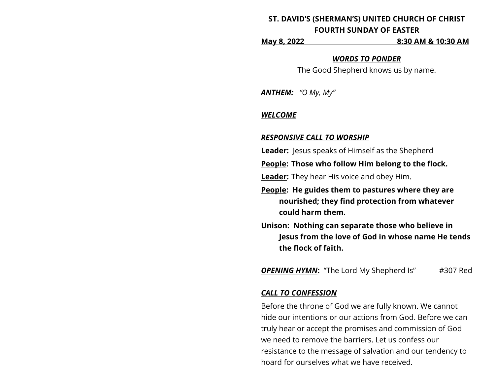# **ST. DAVID'S (SHERMAN'S) UNITED CHURCH OF CHRIST FOURTH SUNDAY OF EASTER**

**May 8, 2022 8:30 AM & 10:30 AM**

### *WORDS TO PONDER*

The Good Shepherd knows us by name.

*ANTHEM: "O My, My"*

#### *WELCOME*

### *RESPONSIVE CALL TO WORSHIP*

**Leader:** Jesus speaks of Himself as the Shepherd

**People: Those who follow Him belong to the flock.** 

**Leader:** They hear His voice and obey Him.

- **People: He guides them to pastures where they are nourished; they find protection from whatever could harm them.**
- **Unison: Nothing can separate those who believe in Jesus from the love of God in whose name He tends the flock of faith.**

**OPENING HYMN:** "The Lord My Shepherd Is" #307 Red

### *CALL TO CONFESSION*

Before the throne of God we are fully known. We cannot hide our intentions or our actions from God. Before we can truly hear or accept the promises and commission of God we need to remove the barriers. Let us confess our resistance to the message of salvation and our tendency to hoard for ourselves what we have received.